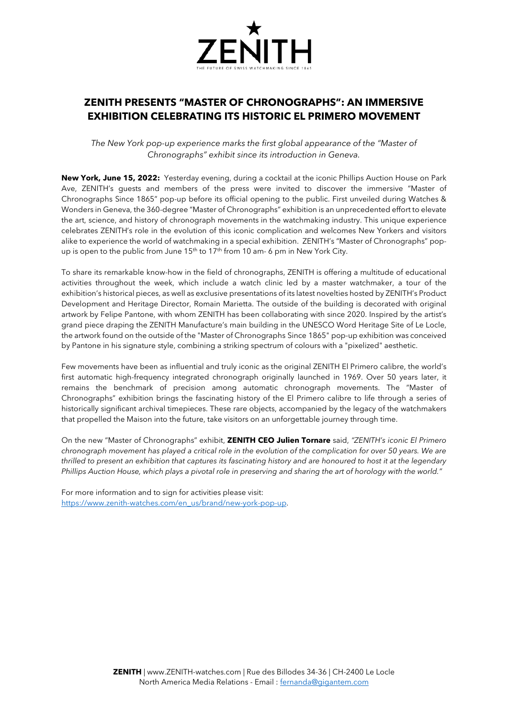

## **ZENITH PRESENTS "MASTER OF CHRONOGRAPHS": AN IMMERSIVE EXHIBITION CELEBRATING ITS HISTORIC EL PRIMERO MOVEMENT**

*The New York pop-up experience marks the first global appearance of the "Master of Chronographs" exhibit since its introduction in Geneva.*

**New York, June 15, 2022:** Yesterday evening, during a cocktail at the iconic Phillips Auction House on Park Ave, ZENITH's guests and members of the press were invited to discover the immersive "Master of Chronographs Since 1865" pop-up before its official opening to the public. First unveiled during Watches & Wonders in Geneva, the 360-degree "Master of Chronographs" exhibition is an unprecedented effort to elevate the art, science, and history of chronograph movements in the watchmaking industry. This unique experience celebrates ZENITH's role in the evolution of this iconic complication and welcomes New Yorkers and visitors alike to experience the world of watchmaking in a special exhibition. ZENITH's "Master of Chronographs" popup is open to the public from June  $15<sup>th</sup>$  to  $17<sup>th</sup>$  from 10 am-6 pm in New York City.

To share its remarkable know-how in the field of chronographs, ZENITH is offering a multitude of educational activities throughout the week, which include a watch clinic led by a master watchmaker, a tour of the exhibition's historical pieces, as well as exclusive presentations of its latest novelties hosted by ZENITH's Product Development and Heritage Director, Romain Marietta. The outside of the building is decorated with original artwork by Felipe Pantone, with whom ZENITH has been collaborating with since 2020. Inspired by the artist's grand piece draping the ZENITH Manufacture's main building in the UNESCO Word Heritage Site of Le Locle, the artwork found on the outside of the "Master of Chronographs Since 1865" pop-up exhibition was conceived by Pantone in his signature style, combining a striking spectrum of colours with a "pixelized" aesthetic.

Few movements have been as influential and truly iconic as the original ZENITH El Primero calibre, the world's first automatic high-frequency integrated chronograph originally launched in 1969. Over 50 years later, it remains the benchmark of precision among automatic chronograph movements. The "Master of Chronographs" exhibition brings the fascinating history of the El Primero calibre to life through a series of historically significant archival timepieces. These rare objects, accompanied by the legacy of the watchmakers that propelled the Maison into the future, take visitors on an unforgettable journey through time.

On the new "Master of Chronographs" exhibit, **ZENITH CEO Julien Tornare** said, *"ZENITH's iconic El Primero chronograph movement has played a critical role in the evolution of the complication for over 50 years. We are thrilled to present an exhibition that captures its fascinating history and are honoured to host it at the legendary Phillips Auction House, which plays a pivotal role in preserving and sharing the art of horology with the world."*

For more information and to sign for activities please visit: [https://www.zenith-watches.com/en\\_us/brand/new-york-pop-up.](https://www.zenith-watches.com/en_us/brand/new-york-pop-up)